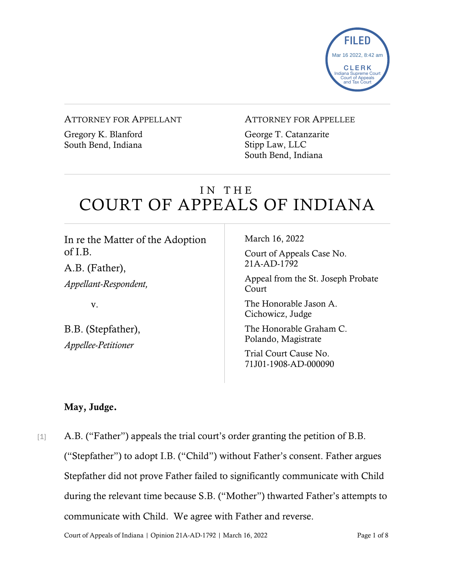

#### ATTORNEY FOR APPELLANT

Gregory K. Blanford South Bend, Indiana

### ATTORNEY FOR APPELLEE

George T. Catanzarite Stipp Law, LLC South Bend, Indiana

# IN THE COURT OF APPEALS OF INDIANA

In re the Matter of the Adoption of I.B. A.B. (Father), *Appellant-Respondent,* v. B.B. (Stepfather), *Appellee-Petitioner* March 16, 2022 Court of Appeals Case No. 21A-AD-1792 Appeal from the St. Joseph Probate Court The Honorable Jason A. Cichowicz, Judge The Honorable Graham C. Polando, Magistrate Trial Court Cause No. 71J01-1908-AD-000090

### May, Judge.

[1] A.B. ("Father") appeals the trial court's order granting the petition of B.B. ("Stepfather") to adopt I.B. ("Child") without Father's consent. Father argues Stepfather did not prove Father failed to significantly communicate with Child during the relevant time because S.B. ("Mother") thwarted Father's attempts to communicate with Child. We agree with Father and reverse.

Court of Appeals of Indiana | Opinion 21A-AD-1792 | March 16, 2022 Page 1 of 8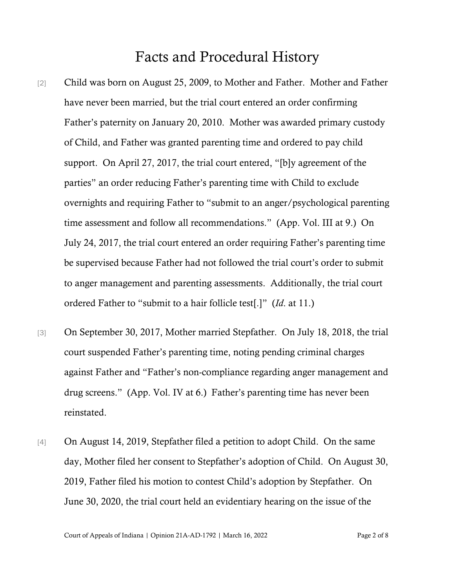## Facts and Procedural History

- [2] Child was born on August 25, 2009, to Mother and Father. Mother and Father have never been married, but the trial court entered an order confirming Father's paternity on January 20, 2010. Mother was awarded primary custody of Child, and Father was granted parenting time and ordered to pay child support. On April 27, 2017, the trial court entered, "[b]y agreement of the parties" an order reducing Father's parenting time with Child to exclude overnights and requiring Father to "submit to an anger/psychological parenting time assessment and follow all recommendations." (App. Vol. III at 9.) On July 24, 2017, the trial court entered an order requiring Father's parenting time be supervised because Father had not followed the trial court's order to submit to anger management and parenting assessments. Additionally, the trial court ordered Father to "submit to a hair follicle test[.]" (*Id*. at 11.)
- [3] On September 30, 2017, Mother married Stepfather. On July 18, 2018, the trial court suspended Father's parenting time, noting pending criminal charges against Father and "Father's non-compliance regarding anger management and drug screens." (App. Vol. IV at 6.) Father's parenting time has never been reinstated.
- [4] On August 14, 2019, Stepfather filed a petition to adopt Child. On the same day, Mother filed her consent to Stepfather's adoption of Child. On August 30, 2019, Father filed his motion to contest Child's adoption by Stepfather. On June 30, 2020, the trial court held an evidentiary hearing on the issue of the

Court of Appeals of Indiana | Opinion 21A-AD-1792 | March 16, 2022 Page 2 of 8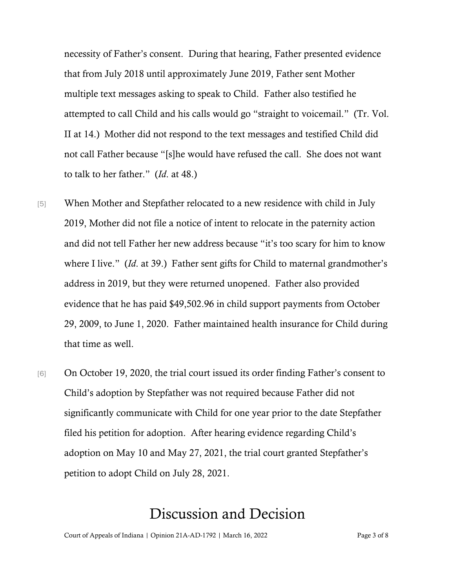necessity of Father's consent. During that hearing, Father presented evidence that from July 2018 until approximately June 2019, Father sent Mother multiple text messages asking to speak to Child. Father also testified he attempted to call Child and his calls would go "straight to voicemail." (Tr. Vol. II at 14.) Mother did not respond to the text messages and testified Child did not call Father because "[s]he would have refused the call. She does not want to talk to her father." (*Id*. at 48.)

- [5] When Mother and Stepfather relocated to a new residence with child in July 2019, Mother did not file a notice of intent to relocate in the paternity action and did not tell Father her new address because "it's too scary for him to know where I live." (*Id*. at 39.) Father sent gifts for Child to maternal grandmother's address in 2019, but they were returned unopened. Father also provided evidence that he has paid \$49,502.96 in child support payments from October 29, 2009, to June 1, 2020. Father maintained health insurance for Child during that time as well.
- [6] On October 19, 2020, the trial court issued its order finding Father's consent to Child's adoption by Stepfather was not required because Father did not significantly communicate with Child for one year prior to the date Stepfather filed his petition for adoption. After hearing evidence regarding Child's adoption on May 10 and May 27, 2021, the trial court granted Stepfather's petition to adopt Child on July 28, 2021.

## Discussion and Decision

Court of Appeals of Indiana | Opinion 21A-AD-1792 | March 16, 2022 Page 3 of 8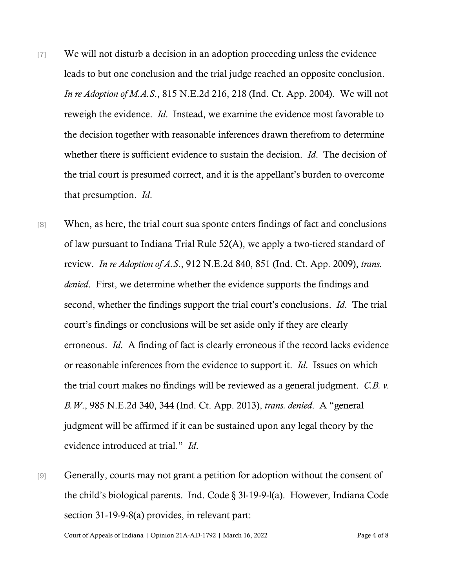- [7] We will not disturb a decision in an adoption proceeding unless the evidence leads to but one conclusion and the trial judge reached an opposite conclusion. *In re Adoption of M.A.S*., 815 N.E.2d 216, 218 (Ind. Ct. App. 2004). We will not reweigh the evidence. *Id*. Instead, we examine the evidence most favorable to the decision together with reasonable inferences drawn therefrom to determine whether there is sufficient evidence to sustain the decision. *Id*. The decision of the trial court is presumed correct, and it is the appellant's burden to overcome that presumption. *Id*.
- [8] When, as here, the trial court sua sponte enters findings of fact and conclusions of law pursuant to Indiana Trial Rule 52(A), we apply a two-tiered standard of review. *In re Adoption of A.S*., 912 N.E.2d 840, 851 (Ind. Ct. App. 2009), *trans. denied*. First, we determine whether the evidence supports the findings and second, whether the findings support the trial court's conclusions. *Id*. The trial court's findings or conclusions will be set aside only if they are clearly erroneous. *Id*. A finding of fact is clearly erroneous if the record lacks evidence or reasonable inferences from the evidence to support it. *Id*. Issues on which the trial court makes no findings will be reviewed as a general judgment. *C.B. v. B.W*., 985 N.E.2d 340, 344 (Ind. Ct. App. 2013), *trans. denied*. A "general judgment will be affirmed if it can be sustained upon any legal theory by the evidence introduced at trial." *Id*.
- [9] Generally, courts may not grant a petition for adoption without the consent of the child's biological parents. Ind. Code § 3l-19-9-l(a). However, Indiana Code section 31-19-9-8(a) provides, in relevant part:

Court of Appeals of Indiana | Opinion 21A-AD-1792 | March 16, 2022 Page 4 of 8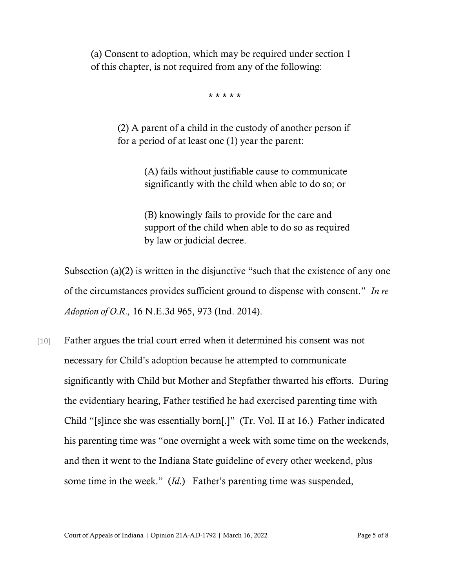(a) Consent to adoption, which may be required under section 1 of this chapter, is not required from any of the following:

\* \* \* \* \*

(2) A parent of a child in the custody of another person if for a period of at least one (1) year the parent:

> (A) fails without justifiable cause to communicate significantly with the child when able to do so; or

(B) knowingly fails to provide for the care and support of the child when able to do so as required by law or judicial decree.

Subsection (a)(2) is written in the disjunctive "such that the existence of any one of the circumstances provides sufficient ground to dispense with consent." *In re Adoption of O.R.,* 16 N.E.3d 965, 973 (Ind. 2014).

[10] Father argues the trial court erred when it determined his consent was not necessary for Child's adoption because he attempted to communicate significantly with Child but Mother and Stepfather thwarted his efforts. During the evidentiary hearing, Father testified he had exercised parenting time with Child "[s]ince she was essentially born[.]" (Tr. Vol. II at 16.) Father indicated his parenting time was "one overnight a week with some time on the weekends, and then it went to the Indiana State guideline of every other weekend, plus some time in the week." (*Id*.) Father's parenting time was suspended,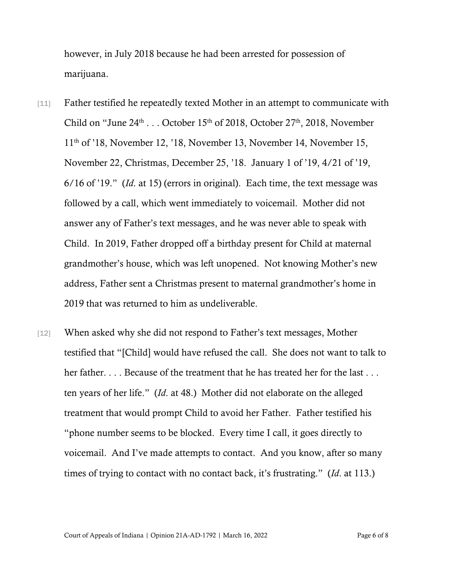however, in July 2018 because he had been arrested for possession of marijuana.

- [11] Father testified he repeatedly texted Mother in an attempt to communicate with Child on "June  $24<sup>th</sup>$ ... October 15<sup>th</sup> of 2018, October 27<sup>th</sup>, 2018, November 11th of '18, November 12, '18, November 13, November 14, November 15, November 22, Christmas, December 25, '18. January 1 of '19, 4/21 of '19, 6/16 of '19." (*Id*. at 15) (errors in original). Each time, the text message was followed by a call, which went immediately to voicemail. Mother did not answer any of Father's text messages, and he was never able to speak with Child. In 2019, Father dropped off a birthday present for Child at maternal grandmother's house, which was left unopened. Not knowing Mother's new address, Father sent a Christmas present to maternal grandmother's home in 2019 that was returned to him as undeliverable.
- [12] When asked why she did not respond to Father's text messages, Mother testified that "[Child] would have refused the call. She does not want to talk to her father. . . . Because of the treatment that he has treated her for the last . . . ten years of her life." (*Id*. at 48.) Mother did not elaborate on the alleged treatment that would prompt Child to avoid her Father. Father testified his "phone number seems to be blocked. Every time I call, it goes directly to voicemail. And I've made attempts to contact. And you know, after so many times of trying to contact with no contact back, it's frustrating." (*Id*. at 113.)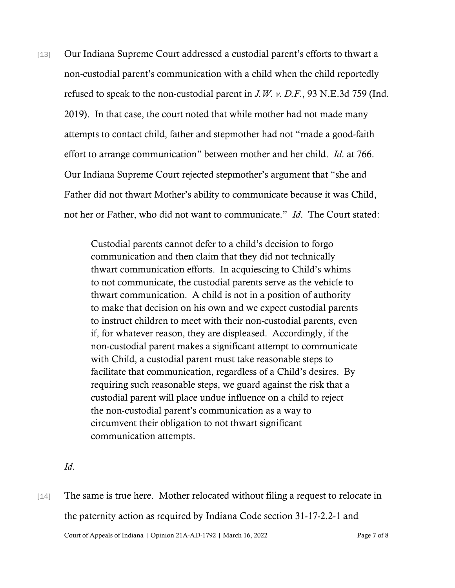[13] Our Indiana Supreme Court addressed a custodial parent's efforts to thwart a non-custodial parent's communication with a child when the child reportedly refused to speak to the non-custodial parent in *J.W. v. D.F*., 93 N.E.3d 759 (Ind. 2019). In that case, the court noted that while mother had not made many attempts to contact child, father and stepmother had not "made a good-faith effort to arrange communication" between mother and her child. *Id*. at 766. Our Indiana Supreme Court rejected stepmother's argument that "she and Father did not thwart Mother's ability to communicate because it was Child, not her or Father, who did not want to communicate." *Id*. The Court stated:

> Custodial parents cannot defer to a child's decision to forgo communication and then claim that they did not technically thwart communication efforts. In acquiescing to Child's whims to not communicate, the custodial parents serve as the vehicle to thwart communication. A child is not in a position of authority to make that decision on his own and we expect custodial parents to instruct children to meet with their non-custodial parents, even if, for whatever reason, they are displeased. Accordingly, if the non-custodial parent makes a significant attempt to communicate with Child, a custodial parent must take reasonable steps to facilitate that communication, regardless of a Child's desires. By requiring such reasonable steps, we guard against the risk that a custodial parent will place undue influence on a child to reject the non-custodial parent's communication as a way to circumvent their obligation to not thwart significant communication attempts.

- *Id*.
- Court of Appeals of Indiana | Opinion 21A-AD-1792 | March 16, 2022 Page 7 of 8 [14] The same is true here. Mother relocated without filing a request to relocate in the paternity action as required by Indiana Code section 31-17-2.2-1 and